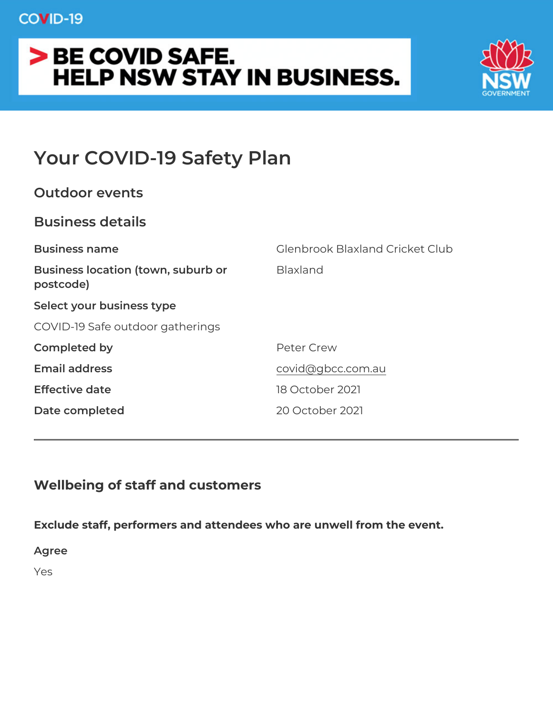# Your COVID-19 Safety Plan

| Outdoor events                                       |                                 |
|------------------------------------------------------|---------------------------------|
| Business details                                     |                                 |
| Business name                                        | Glenbrook Blaxland Cricket Club |
| Business location (town, suburbBbaxland<br>postcode) |                                 |
| Select your business type                            |                                 |
| COVID-19 Safe outdoor gatherings                     |                                 |
| Completed by                                         | Peter Crew                      |
| Email address                                        | covid@gbcc.com.au               |
| Effective date                                       | 18 October 2021                 |
| Date completed                                       | 20 October 2021                 |

Wellbeing of staff and customers

Exclude staff, performers and attendees who are unwell from the e Agree Yes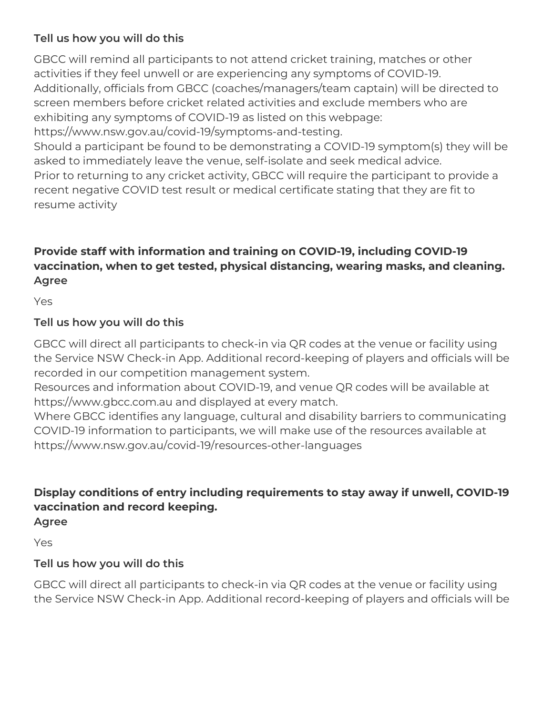# **Tell us how you will do this**

GBCC will remind all participants to not attend cricket training, matches or other activities if they feel unwell or are experiencing any symptoms of COVID-19. Additionally, officials from GBCC (coaches/managers/team captain) will be directed to screen members before cricket related activities and exclude members who are exhibiting any symptoms of COVID-19 as listed on this webpage: https://www.nsw.gov.au/covid-19/symptoms-and-testing.

Should a participant be found to be demonstrating a COVID-19 symptom(s) they will be asked to immediately leave the venue, self-isolate and seek medical advice. Prior to returning to any cricket activity, GBCC will require the participant to provide a recent negative COVID test result or medical certificate stating that they are fit to resume activity

# **Provide staff with information and training on COVID-19, including COVID-19 vaccination, when to get tested, physical distancing, wearing masks, and cleaning. Agree**

Yes

# **Tell us how you will do this**

GBCC will direct all participants to check-in via QR codes at the venue or facility using the Service NSW Check-in App. Additional record-keeping of players and officials will be recorded in our competition management system.

Resources and information about COVID-19, and venue QR codes will be available at https://www.gbcc.com.au and displayed at every match.

Where GBCC identifies any language, cultural and disability barriers to communicating COVID-19 information to participants, we will make use of the resources available at https://www.nsw.gov.au/covid-19/resources-other-languages

# **Display conditions of entry including requirements to stay away if unwell, COVID-19 vaccination and record keeping.**

**Agree**

Yes

# **Tell us how you will do this**

GBCC will direct all participants to check-in via QR codes at the venue or facility using the Service NSW Check-in App. Additional record-keeping of players and officials will be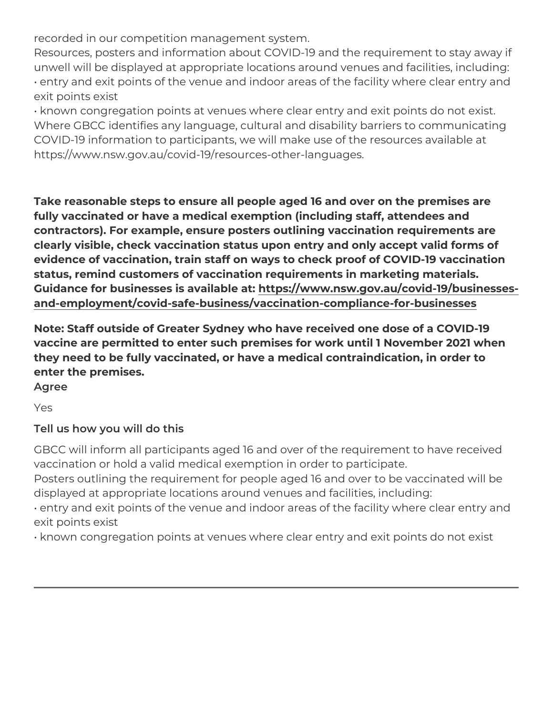recorded in our competition management system.

Resources, posters and information about COVID-19 and the requir unwell will be displayed at appropriate locations around venues an " entry and exit points of the venue and indoor areas of the facility exit points exist

" known congregation points at venues where clear entry and exit p Where GBCC identifies any language, cultural and disability barrie COVID-19 information to participants, we will make use of the reso https://www.nsw.gov.au/covid-19/resources-other-languages.

Take reasonable steps to ensure all people aged 16 and over on the fully vaccinated or have a medical exemption (including staff, atter contractors). For example, ensure posters outlining vaccination requirements clearly visible, check vaccination status upon entry and only accept evidence of vaccination, train staff on ways to check proof of COV status, remind customers of vaccination requirements in marketing Guidance for businesses is a hatipablewantw.nsw.gov.au/covid-19/businesses[and-employment/covid-safe-business/vaccination-complia](https://www.nsw.gov.au/covid-19/businesses-and-employment/covid-safe-business/vaccination-compliance-for-businesses)nce-for-bu

Note: Staff outside of Greater Sydney who have received one dose vaccine are permitted to enter such premises for work until 1 Nove they need to be fully vaccinated, or have a medical contraindication, enter the premises.

Yes

Agree

Tell us how you will do this

GBCC will inform all participants aged 16 and over of the requirem vaccination or hold a valid medical exemption in order to participa Posters outlining the requirement for people aged 16 and over to b displayed at appropriate locations around venues and facilities, in " entry and exit points of the venue and indoor areas of the facility exit points exist

" known congregation points at venues where clear entry and exit p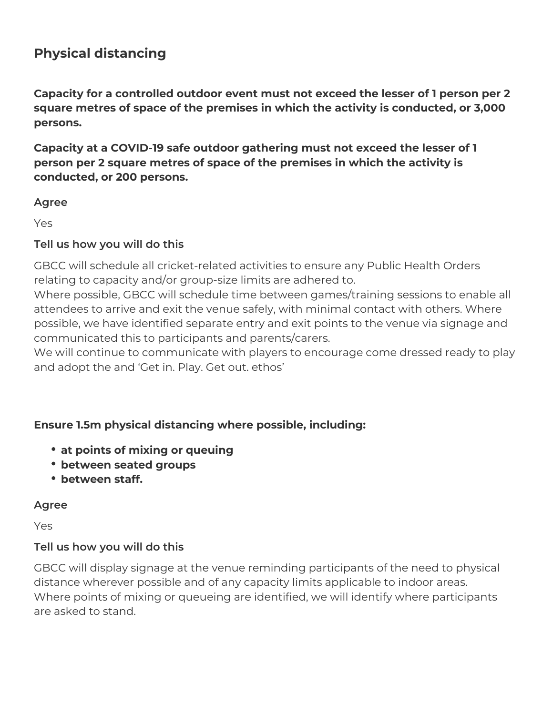# **Physical distancing**

**Capacity for a controlled outdoor event must not exceed the lesser of 1 person per 2 square metres of space of the premises in which the activity is conducted, or 3,000 persons.**

**Capacity at a COVID-19 safe outdoor gathering must not exceed the lesser of 1 person per 2 square metres of space of the premises in which the activity is conducted, or 200 persons.** 

#### **Agree**

Yes

#### **Tell us how you will do this**

GBCC will schedule all cricket-related activities to ensure any Public Health Orders relating to capacity and/or group-size limits are adhered to.

Where possible, GBCC will schedule time between games/training sessions to enable all attendees to arrive and exit the venue safely, with minimal contact with others. Where possible, we have identified separate entry and exit points to the venue via signage and communicated this to participants and parents/carers.

We will continue to communicate with players to encourage come dressed ready to play and adopt the and 'Get in. Play. Get out. ethos'

#### **Ensure 1.5m physical distancing where possible, including:**

- **at points of mixing or queuing**
- **between seated groups**
- **between staff.**

#### **Agree**

Yes

#### **Tell us how you will do this**

GBCC will display signage at the venue reminding participants of the need to physical distance wherever possible and of any capacity limits applicable to indoor areas. Where points of mixing or queueing are identified, we will identify where participants are asked to stand.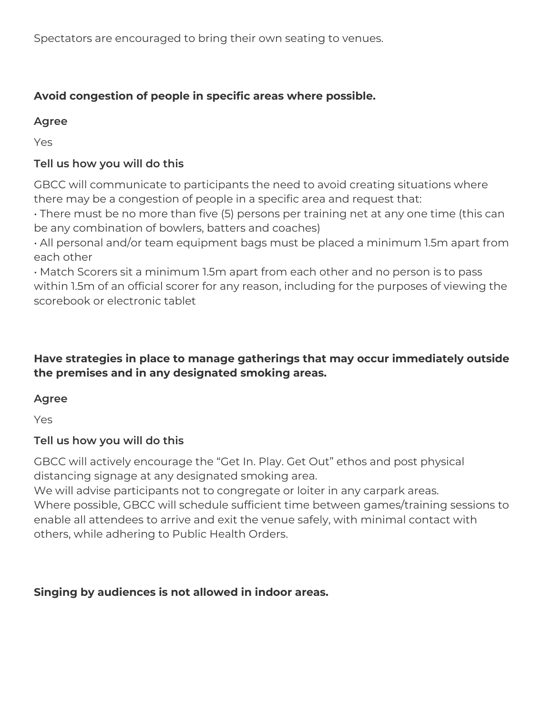Spectators are encouraged to bring their own seating to venues.

# **Avoid congestion of people in specific areas where possible.**

#### **Agree**

Yes

# **Tell us how you will do this**

GBCC will communicate to participants the need to avoid creating situations where there may be a congestion of people in a specific area and request that:

• There must be no more than five (5) persons per training net at any one time (this can be any combination of bowlers, batters and coaches)

• All personal and/or team equipment bags must be placed a minimum 1.5m apart from each other

• Match Scorers sit a minimum 1.5m apart from each other and no person is to pass within 1.5m of an official scorer for any reason, including for the purposes of viewing the scorebook or electronic tablet

# **Have strategies in place to manage gatherings that may occur immediately outside the premises and in any designated smoking areas.**

# **Agree**

Yes

# **Tell us how you will do this**

GBCC will actively encourage the "Get In. Play. Get Out" ethos and post physical distancing signage at any designated smoking area.

We will advise participants not to congregate or loiter in any carpark areas. Where possible, GBCC will schedule sufficient time between games/training sessions to enable all attendees to arrive and exit the venue safely, with minimal contact with others, while adhering to Public Health Orders.

# **Singing by audiences is not allowed in indoor areas.**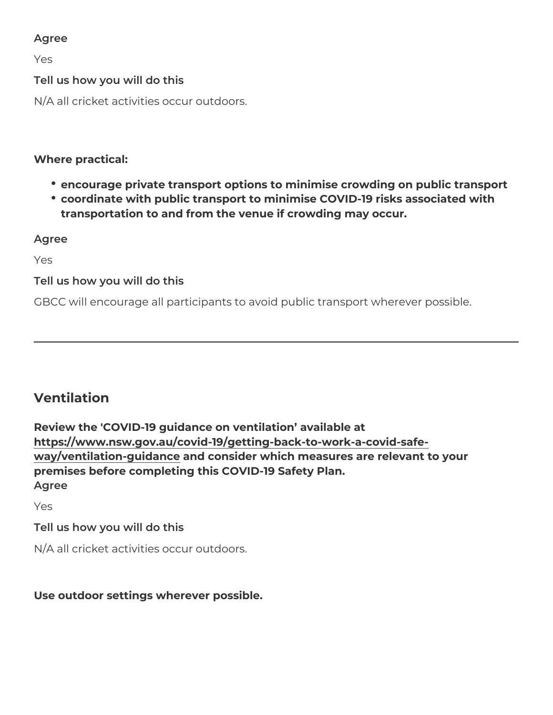Yes

Tell us how you will do this

N/A all cricket activities occur outdoors.

Where practical:

- encourage private transport options to minimise crowding on pu
- coordinate with public transport to minimise COVID-19 risks ass transportation to and from the venue if crowding may occur.

Agree

Yes

Tell us how you will do this

GBCC will encourage all participants to avoid public transport whe

#### Ventilation

Review the 'COVID-19 guidance on ventilation available at [https://www.nsw.gov.au/covid-19/getting-back-to-wo](https://www.nsw.gov.au/covid-19/getting-back-to-work-a-covid-safe-way/ventilation-guidance)rk-a-covid-safe [way/ventilation-gui](https://www.nsw.gov.au/covid-19/getting-back-to-work-a-covid-safe-way/ventilation-guidance)dannde consider which measures are relevant to your premises before completing this COVID-19 Safety Plan. Agree

Yes

Tell us how you will do this

N/A all cricket activities occur outdoors.

Use outdoor settings wherever possible.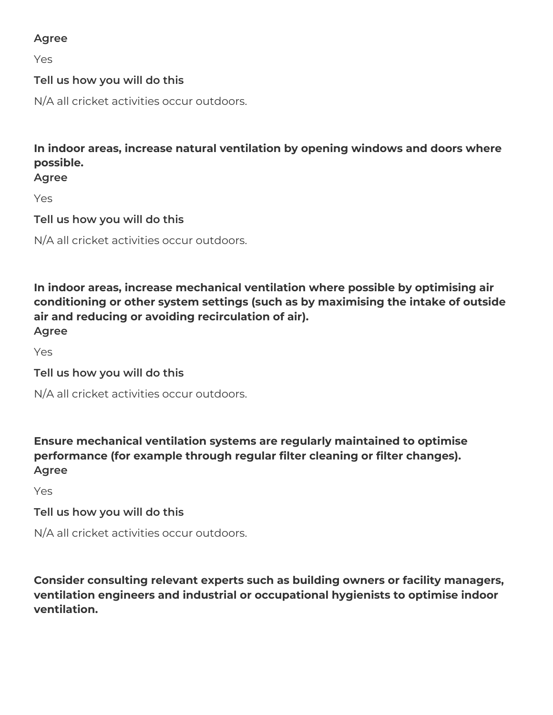Yes

# **Tell us how you will do this**

N/A all cricket activities occur outdoors.

**In indoor areas, increase natural ventilation by opening windows and doors where possible.**

**Agree**

Yes

**Tell us how you will do this**

N/A all cricket activities occur outdoors.

**In indoor areas, increase mechanical ventilation where possible by optimising air conditioning or other system settings (such as by maximising the intake of outside air and reducing or avoiding recirculation of air). Agree**

Yes

**Tell us how you will do this**

N/A all cricket activities occur outdoors.

**Ensure mechanical ventilation systems are regularly maintained to optimise performance (for example through regular filter cleaning or filter changes). Agree**

Yes

#### **Tell us how you will do this**

N/A all cricket activities occur outdoors.

**Consider consulting relevant experts such as building owners or facility managers, ventilation engineers and industrial or occupational hygienists to optimise indoor ventilation.**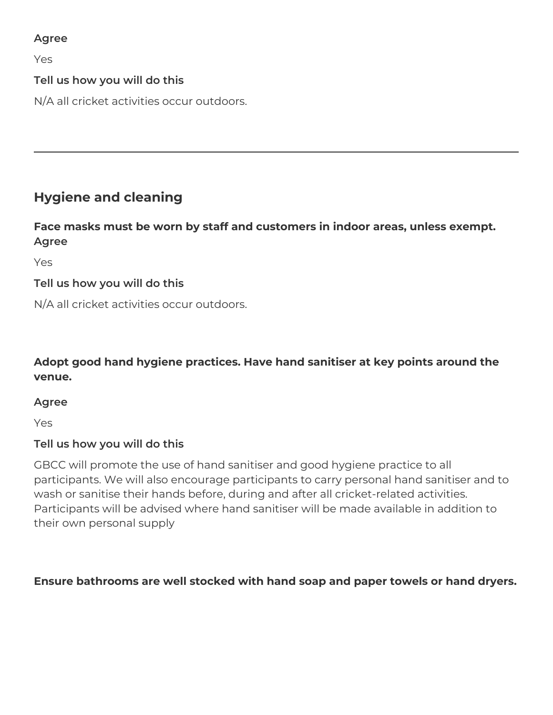Yes

# **Tell us how you will do this**

N/A all cricket activities occur outdoors.

# **Hygiene and cleaning**

#### **Face masks must be worn by staff and customers in indoor areas, unless exempt. Agree**

Yes

# **Tell us how you will do this**

N/A all cricket activities occur outdoors.

# **Adopt good hand hygiene practices. Have hand sanitiser at key points around the venue.**

#### **Agree**

Yes

# **Tell us how you will do this**

GBCC will promote the use of hand sanitiser and good hygiene practice to all participants. We will also encourage participants to carry personal hand sanitiser and to wash or sanitise their hands before, during and after all cricket-related activities. Participants will be advised where hand sanitiser will be made available in addition to their own personal supply

#### **Ensure bathrooms are well stocked with hand soap and paper towels or hand dryers.**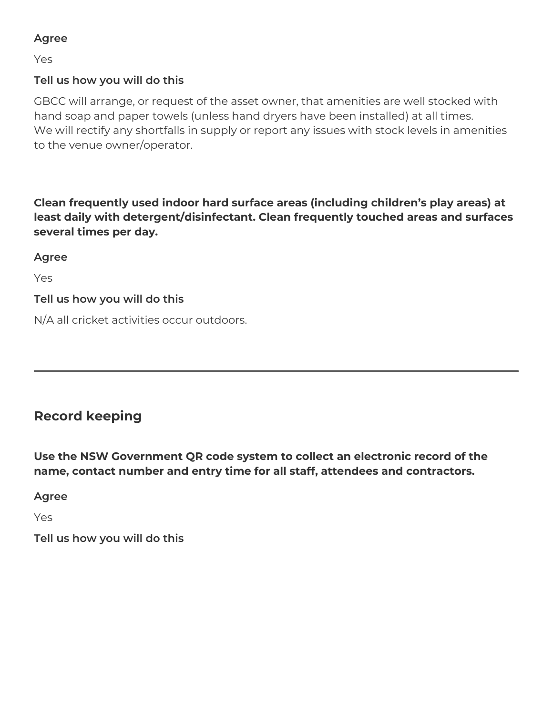Yes

#### **Tell us how you will do this**

GBCC will arrange, or request of the asset owner, that amenities are well stocked with hand soap and paper towels (unless hand dryers have been installed) at all times. We will rectify any shortfalls in supply or report any issues with stock levels in amenities to the venue owner/operator.

**Clean frequently used indoor hard surface areas (including children's play areas) at least daily with detergent/disinfectant. Clean frequently touched areas and surfaces several times per day.**

**Agree**

Yes

#### **Tell us how you will do this**

N/A all cricket activities occur outdoors.

# **Record keeping**

**Use the NSW Government QR code system to collect an electronic record of the name, contact number and entry time for all staff, attendees and contractors.**

**Agree**

Yes

**Tell us how you will do this**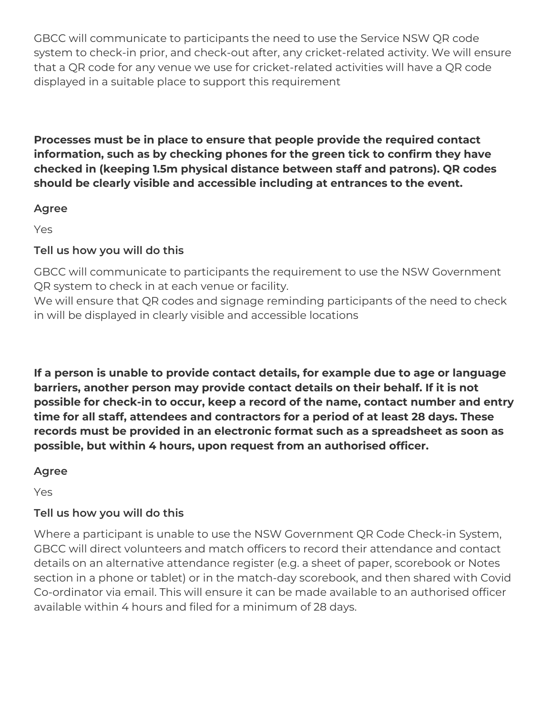GBCC will communicate to participants the need to use the Service NSW QR code system to check-in prior, and check-out after, any cricket-related activity. We will ensure that a QR code for any venue we use for cricket-related activities will have a QR code displayed in a suitable place to support this requirement

**Processes must be in place to ensure that people provide the required contact information, such as by checking phones for the green tick to confirm they have checked in (keeping 1.5m physical distance between staff and patrons). QR codes should be clearly visible and accessible including at entrances to the event.**

#### **Agree**

Yes

# **Tell us how you will do this**

GBCC will communicate to participants the requirement to use the NSW Government QR system to check in at each venue or facility.

We will ensure that QR codes and signage reminding participants of the need to check in will be displayed in clearly visible and accessible locations

**If a person is unable to provide contact details, for example due to age or language barriers, another person may provide contact details on their behalf. If it is not possible for check-in to occur, keep a record of the name, contact number and entry time for all staff, attendees and contractors for a period of at least 28 days. These records must be provided in an electronic format such as a spreadsheet as soon as possible, but within 4 hours, upon request from an authorised officer.** 

# **Agree**

Yes

# **Tell us how you will do this**

Where a participant is unable to use the NSW Government QR Code Check-in System, GBCC will direct volunteers and match officers to record their attendance and contact details on an alternative attendance register (e.g. a sheet of paper, scorebook or Notes section in a phone or tablet) or in the match-day scorebook, and then shared with Covid Co-ordinator via email. This will ensure it can be made available to an authorised officer available within 4 hours and filed for a minimum of 28 days.